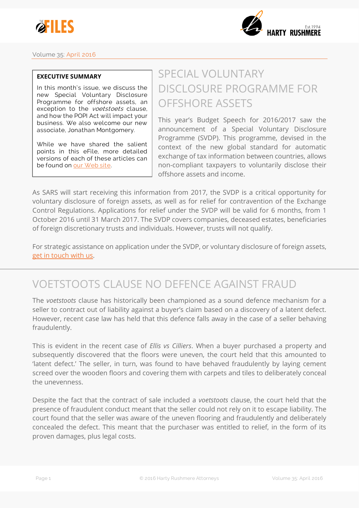



### **Volume 35: April 2016**

#### **EXECUTIVE SUMMARY**

**In this month's issue, we discuss the new Special Voluntary Disclosure Programme for offshore assets, an exception to the voetstoets clause, and how the POPI Act will impact your business. We also welcome our new associate, Jonathan Montgomery.**

**While we have shared the salient points in this eFile, more detailed versions of each of these articles can be found on [our Web site.](http://www.harty.law/?utm_source=efile35&utm_medium=newsletter&utm_content=exec&utm_campaign=efile_vol35)**

# SPECIAL VOLUNTARY DISCLOSURE PROGRAMME FOR OFFSHORE ASSETS

This year's Budget Speech for 2016/2017 saw the announcement of a Special Voluntary Disclosure Programme (SVDP). This programme, devised in the context of the new global standard for automatic exchange of tax information between countries, allows non-compliant taxpayers to voluntarily disclose their offshore assets and income.

As SARS will start receiving this information from 2017, the SVDP is a critical opportunity for voluntary disclosure of foreign assets, as well as for relief for contravention of the Exchange Control Regulations. Applications for relief under the SVDP will be valid for 6 months, from 1 October 2016 until 31 March 2017. The SVDP covers companies, deceased estates, beneficiaries of foreign discretionary trusts and individuals. However, trusts will not qualify.

For strategic assistance on application under the SVDP, or voluntary disclosure of foreign assets, [get in touch with us.](http://www.harty.law/contact-us?utm_source=efile35&utm_medium=newsletter&utm_content=exec&utm_campaign=efile_vol35)

### VOETSTOOTS CLAUSE NO DEFENCE AGAINST FRAUD

The *voetstoots* clause has historically been championed as a sound defence mechanism for a seller to contract out of liability against a buyer's claim based on a discovery of a latent defect. However, recent case law has held that this defence falls away in the case of a seller behaving fraudulently.

This is evident in the recent case of *Ellis vs Cilliers*. When a buyer purchased a property and subsequently discovered that the floors were uneven, the court held that this amounted to 'latent defect.' The seller, in turn, was found to have behaved fraudulently by laying cement screed over the wooden floors and covering them with carpets and tiles to deliberately conceal the unevenness.

Despite the fact that the contract of sale included a *voetstoots* clause, the court held that the presence of fraudulent conduct meant that the seller could not rely on it to escape liability. The court found that the seller was aware of the uneven flooring and fraudulently and deliberately concealed the defect. This meant that the purchaser was entitled to relief, in the form of its proven damages, plus legal costs.